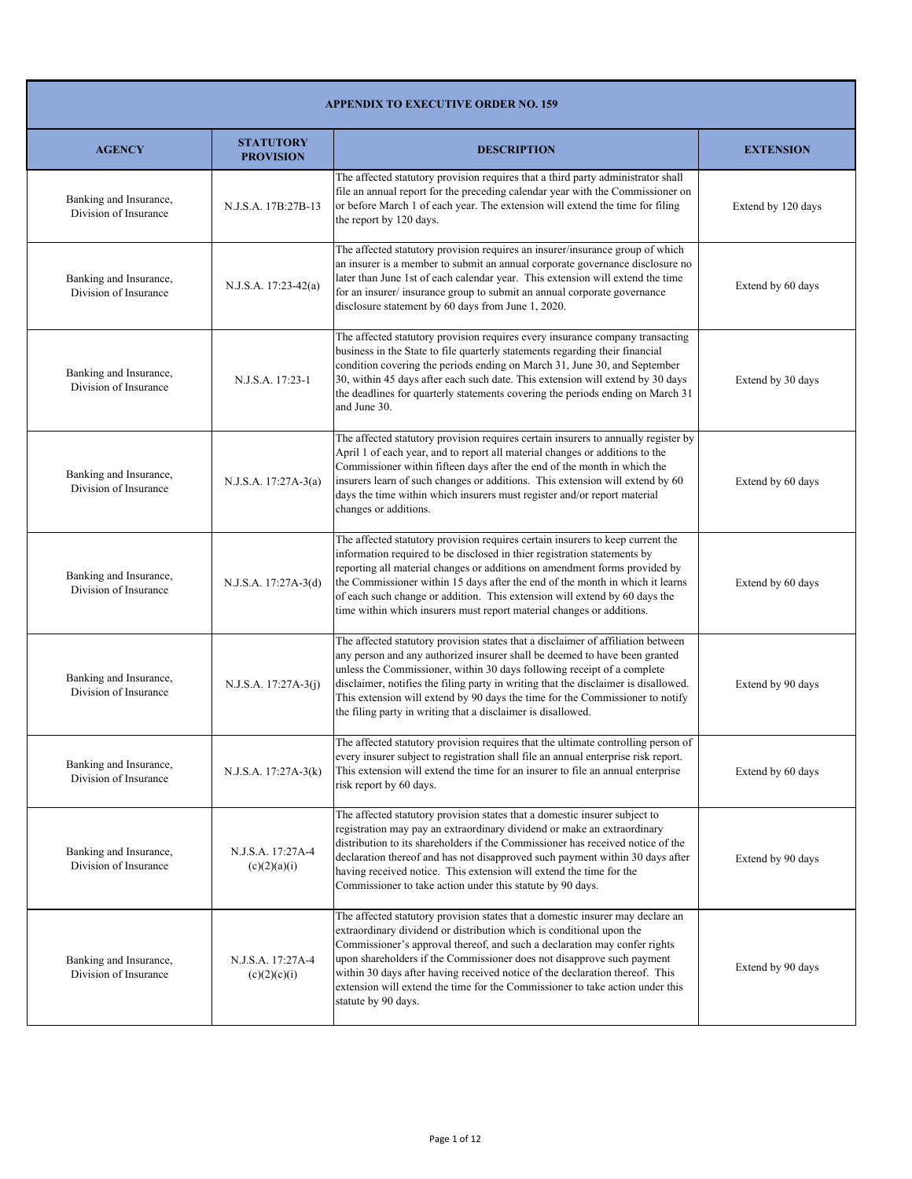| <b>APPENDIX TO EXECUTIVE ORDER NO. 159</b>      |                                      |                                                                                                                                                                                                                                                                                                                                                                                                                                                                                                       |                    |
|-------------------------------------------------|--------------------------------------|-------------------------------------------------------------------------------------------------------------------------------------------------------------------------------------------------------------------------------------------------------------------------------------------------------------------------------------------------------------------------------------------------------------------------------------------------------------------------------------------------------|--------------------|
| <b>AGENCY</b>                                   | <b>STATUTORY</b><br><b>PROVISION</b> | <b>DESCRIPTION</b>                                                                                                                                                                                                                                                                                                                                                                                                                                                                                    | <b>EXTENSION</b>   |
| Banking and Insurance,<br>Division of Insurance | N.J.S.A. 17B:27B-13                  | The affected statutory provision requires that a third party administrator shall<br>file an annual report for the preceding calendar year with the Commissioner on<br>or before March 1 of each year. The extension will extend the time for filing<br>the report by 120 days.                                                                                                                                                                                                                        | Extend by 120 days |
| Banking and Insurance,<br>Division of Insurance | $N.J.S.A. 17:23-42(a)$               | The affected statutory provision requires an insurer/insurance group of which<br>an insurer is a member to submit an annual corporate governance disclosure no<br>later than June 1st of each calendar year. This extension will extend the time<br>for an insurer/insurance group to submit an annual corporate governance<br>disclosure statement by 60 days from June 1, 2020.                                                                                                                     | Extend by 60 days  |
| Banking and Insurance,<br>Division of Insurance | N.J.S.A. 17:23-1                     | The affected statutory provision requires every insurance company transacting<br>business in the State to file quarterly statements regarding their financial<br>condition covering the periods ending on March 31, June 30, and September<br>30, within 45 days after each such date. This extension will extend by 30 days<br>the deadlines for quarterly statements covering the periods ending on March 31<br>and June 30.                                                                        | Extend by 30 days  |
| Banking and Insurance,<br>Division of Insurance | N.J.S.A. 17:27A-3(a)                 | The affected statutory provision requires certain insurers to annually register by<br>April 1 of each year, and to report all material changes or additions to the<br>Commissioner within fifteen days after the end of the month in which the<br>insurers learn of such changes or additions. This extension will extend by 60<br>days the time within which insurers must register and/or report material<br>changes or additions.                                                                  | Extend by 60 days  |
| Banking and Insurance,<br>Division of Insurance | N.J.S.A. 17:27A-3(d)                 | The affected statutory provision requires certain insurers to keep current the<br>information required to be disclosed in thier registration statements by<br>reporting all material changes or additions on amendment forms provided by<br>the Commissioner within 15 days after the end of the month in which it learns<br>of each such change or addition. This extension will extend by 60 days the<br>time within which insurers must report material changes or additions.                      | Extend by 60 days  |
| Banking and Insurance,<br>Division of Insurance | N.J.S.A. 17:27A-3(j)                 | The affected statutory provision states that a disclaimer of affiliation between<br>any person and any authorized insurer shall be deemed to have been granted<br>unless the Commissioner, within 30 days following receipt of a complete<br>disclaimer, notifies the filing party in writing that the disclaimer is disallowed.<br>This extension will extend by 90 days the time for the Commissioner to notify<br>the filing party in writing that a disclaimer is disallowed.                     | Extend by 90 days  |
| Banking and Insurance,<br>Division of Insurance | N.J.S.A. 17:27A-3(k)                 | The affected statutory provision requires that the ultimate controlling person of<br>every insurer subject to registration shall file an annual enterprise risk report.<br>This extension will extend the time for an insurer to file an annual enterprise<br>risk report by 60 days.                                                                                                                                                                                                                 | Extend by 60 days  |
| Banking and Insurance,<br>Division of Insurance | N.J.S.A. 17:27A-4<br>(c)(2)(a)(i)    | The affected statutory provision states that a domestic insurer subject to<br>registration may pay an extraordinary dividend or make an extraordinary<br>distribution to its shareholders if the Commissioner has received notice of the<br>declaration thereof and has not disapproved such payment within 30 days after<br>having received notice. This extension will extend the time for the<br>Commissioner to take action under this statute by 90 days.                                        | Extend by 90 days  |
| Banking and Insurance,<br>Division of Insurance | N.J.S.A. 17:27A-4<br>(c)(2)(c)(i)    | The affected statutory provision states that a domestic insurer may declare an<br>extraordinary dividend or distribution which is conditional upon the<br>Commissioner's approval thereof, and such a declaration may confer rights<br>upon shareholders if the Commissioner does not disapprove such payment<br>within 30 days after having received notice of the declaration thereof. This<br>extension will extend the time for the Commissioner to take action under this<br>statute by 90 days. | Extend by 90 days  |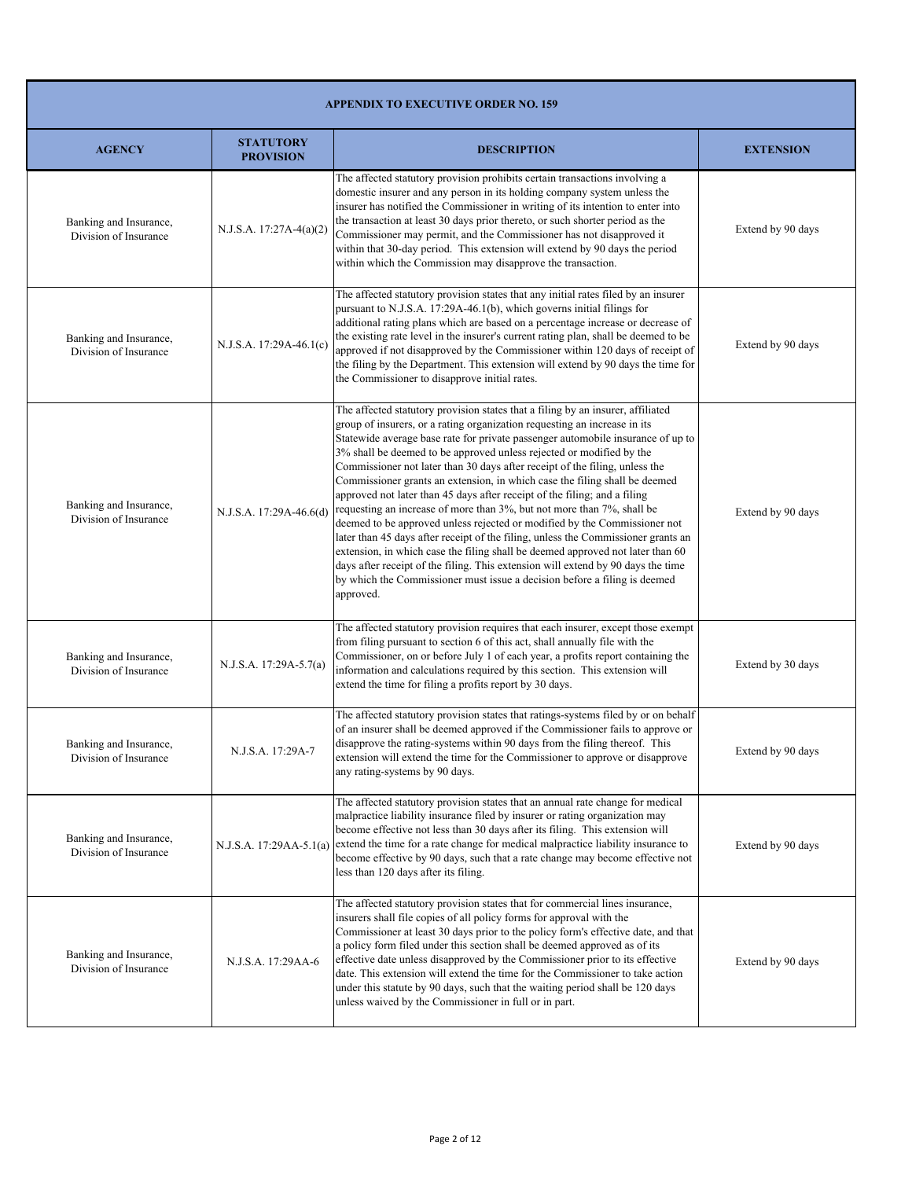|                                                 | <b>APPENDIX TO EXECUTIVE ORDER NO. 159</b> |                                                                                                                                                                                                                                                                                                                                                                                                                                                                                                                                                                                                                                                                                                                                                                                                                                                                                                                                                                                                                                                                               |                   |  |
|-------------------------------------------------|--------------------------------------------|-------------------------------------------------------------------------------------------------------------------------------------------------------------------------------------------------------------------------------------------------------------------------------------------------------------------------------------------------------------------------------------------------------------------------------------------------------------------------------------------------------------------------------------------------------------------------------------------------------------------------------------------------------------------------------------------------------------------------------------------------------------------------------------------------------------------------------------------------------------------------------------------------------------------------------------------------------------------------------------------------------------------------------------------------------------------------------|-------------------|--|
| <b>AGENCY</b>                                   | <b>STATUTORY</b><br><b>PROVISION</b>       | <b>DESCRIPTION</b>                                                                                                                                                                                                                                                                                                                                                                                                                                                                                                                                                                                                                                                                                                                                                                                                                                                                                                                                                                                                                                                            | <b>EXTENSION</b>  |  |
| Banking and Insurance,<br>Division of Insurance | $N.J.S.A. 17:27A-4(a)(2)$                  | The affected statutory provision prohibits certain transactions involving a<br>domestic insurer and any person in its holding company system unless the<br>insurer has notified the Commissioner in writing of its intention to enter into<br>the transaction at least 30 days prior thereto, or such shorter period as the<br>Commissioner may permit, and the Commissioner has not disapproved it<br>within that 30-day period. This extension will extend by 90 days the period<br>within which the Commission may disapprove the transaction.                                                                                                                                                                                                                                                                                                                                                                                                                                                                                                                             | Extend by 90 days |  |
| Banking and Insurance,<br>Division of Insurance | N.J.S.A. 17:29A-46.1(c)                    | The affected statutory provision states that any initial rates filed by an insurer<br>pursuant to N.J.S.A. 17:29A-46.1(b), which governs initial filings for<br>additional rating plans which are based on a percentage increase or decrease of<br>the existing rate level in the insurer's current rating plan, shall be deemed to be<br>approved if not disapproved by the Commissioner within 120 days of receipt of<br>the filing by the Department. This extension will extend by 90 days the time for<br>the Commissioner to disapprove initial rates.                                                                                                                                                                                                                                                                                                                                                                                                                                                                                                                  | Extend by 90 days |  |
| Banking and Insurance,<br>Division of Insurance | N.J.S.A. 17:29A-46.6(d)                    | The affected statutory provision states that a filing by an insurer, affiliated<br>group of insurers, or a rating organization requesting an increase in its<br>Statewide average base rate for private passenger automobile insurance of up to<br>3% shall be deemed to be approved unless rejected or modified by the<br>Commissioner not later than 30 days after receipt of the filing, unless the<br>Commissioner grants an extension, in which case the filing shall be deemed<br>approved not later than 45 days after receipt of the filing; and a filing<br>requesting an increase of more than 3%, but not more than 7%, shall be<br>deemed to be approved unless rejected or modified by the Commissioner not<br>later than 45 days after receipt of the filing, unless the Commissioner grants an<br>extension, in which case the filing shall be deemed approved not later than 60<br>days after receipt of the filing. This extension will extend by 90 days the time<br>by which the Commissioner must issue a decision before a filing is deemed<br>approved. | Extend by 90 days |  |
| Banking and Insurance,<br>Division of Insurance | N.J.S.A. 17:29A-5.7(a)                     | The affected statutory provision requires that each insurer, except those exempt<br>from filing pursuant to section 6 of this act, shall annually file with the<br>Commissioner, on or before July 1 of each year, a profits report containing the<br>information and calculations required by this section. This extension will<br>extend the time for filing a profits report by 30 days.                                                                                                                                                                                                                                                                                                                                                                                                                                                                                                                                                                                                                                                                                   | Extend by 30 days |  |
| Banking and Insurance,<br>Division of Insurance | N.J.S.A. 17:29A-7                          | The affected statutory provision states that ratings-systems filed by or on behalf<br>of an insurer shall be deemed approved if the Commissioner fails to approve or<br>disapprove the rating-systems within 90 days from the filing thereof. This<br>extension will extend the time for the Commissioner to approve or disapprove<br>any rating-systems by 90 days.                                                                                                                                                                                                                                                                                                                                                                                                                                                                                                                                                                                                                                                                                                          | Extend by 90 days |  |
| Banking and Insurance,<br>Division of Insurance |                                            | The affected statutory provision states that an annual rate change for medical<br>malpractice liability insurance filed by insurer or rating organization may<br>become effective not less than 30 days after its filing. This extension will<br>N.J.S.A. 17:29AA-5.1(a) extend the time for a rate change for medical malpractice liability insurance to<br>become effective by 90 days, such that a rate change may become effective not<br>less than 120 days after its filing.                                                                                                                                                                                                                                                                                                                                                                                                                                                                                                                                                                                            | Extend by 90 days |  |
| Banking and Insurance,<br>Division of Insurance | N.J.S.A. 17:29AA-6                         | The affected statutory provision states that for commercial lines insurance,<br>insurers shall file copies of all policy forms for approval with the<br>Commissioner at least 30 days prior to the policy form's effective date, and that<br>a policy form filed under this section shall be deemed approved as of its<br>effective date unless disapproved by the Commissioner prior to its effective<br>date. This extension will extend the time for the Commissioner to take action<br>under this statute by 90 days, such that the waiting period shall be 120 days<br>unless waived by the Commissioner in full or in part.                                                                                                                                                                                                                                                                                                                                                                                                                                             | Extend by 90 days |  |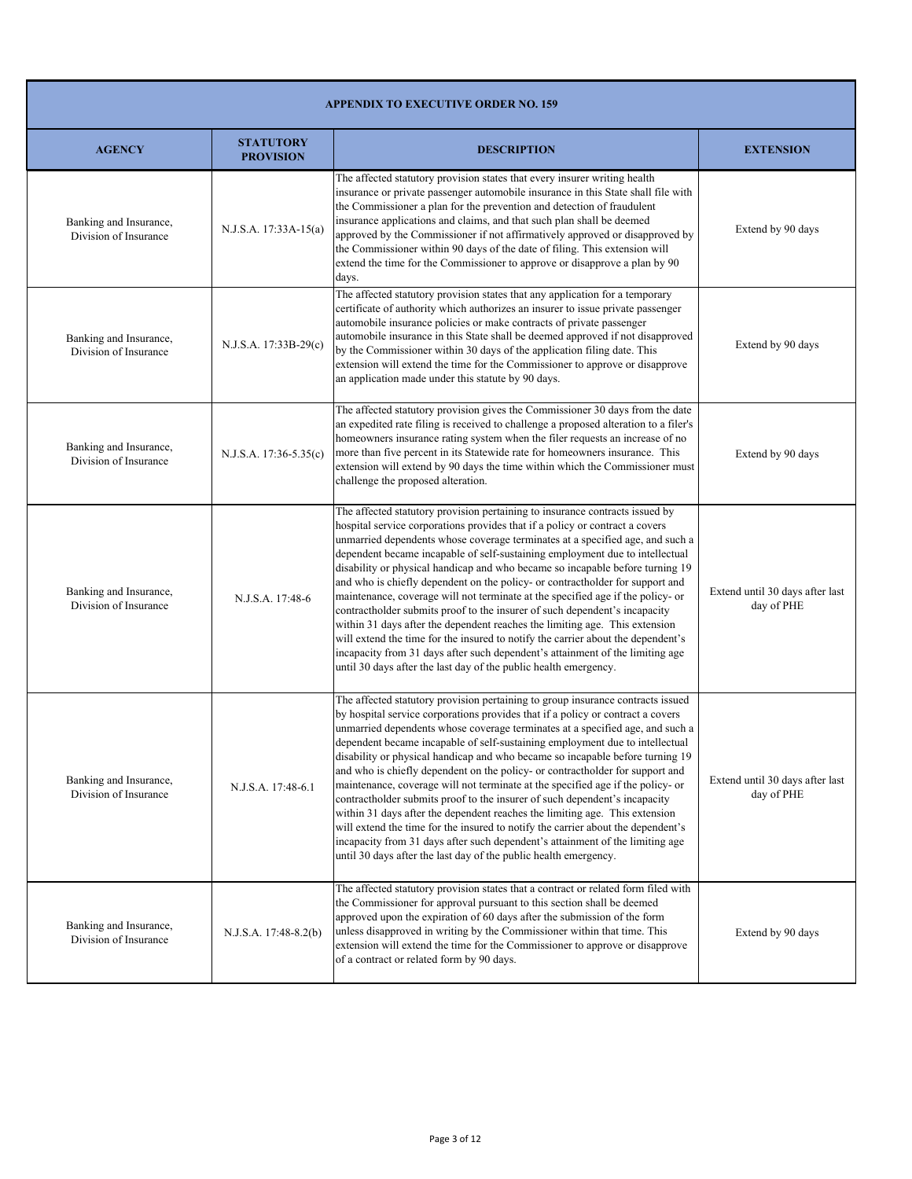| <b>APPENDIX TO EXECUTIVE ORDER NO. 159</b>      |                                      |                                                                                                                                                                                                                                                                                                                                                                                                                                                                                                                                                                                                                                                                                                                                                                                                                                                                                                                                                                                                |                                               |
|-------------------------------------------------|--------------------------------------|------------------------------------------------------------------------------------------------------------------------------------------------------------------------------------------------------------------------------------------------------------------------------------------------------------------------------------------------------------------------------------------------------------------------------------------------------------------------------------------------------------------------------------------------------------------------------------------------------------------------------------------------------------------------------------------------------------------------------------------------------------------------------------------------------------------------------------------------------------------------------------------------------------------------------------------------------------------------------------------------|-----------------------------------------------|
| <b>AGENCY</b>                                   | <b>STATUTORY</b><br><b>PROVISION</b> | <b>DESCRIPTION</b>                                                                                                                                                                                                                                                                                                                                                                                                                                                                                                                                                                                                                                                                                                                                                                                                                                                                                                                                                                             | <b>EXTENSION</b>                              |
| Banking and Insurance,<br>Division of Insurance | N.J.S.A. 17:33A-15(a)                | The affected statutory provision states that every insurer writing health<br>insurance or private passenger automobile insurance in this State shall file with<br>the Commissioner a plan for the prevention and detection of fraudulent<br>insurance applications and claims, and that such plan shall be deemed<br>approved by the Commissioner if not affirmatively approved or disapproved by<br>the Commissioner within 90 days of the date of filing. This extension will<br>extend the time for the Commissioner to approve or disapprove a plan by 90<br>days.                                                                                                                                                                                                                                                                                                                                                                                                                         | Extend by 90 days                             |
| Banking and Insurance,<br>Division of Insurance | N.J.S.A. 17:33B-29(c)                | The affected statutory provision states that any application for a temporary<br>certificate of authority which authorizes an insurer to issue private passenger<br>automobile insurance policies or make contracts of private passenger<br>automobile insurance in this State shall be deemed approved if not disapproved<br>by the Commissioner within 30 days of the application filing date. This<br>extension will extend the time for the Commissioner to approve or disapprove<br>an application made under this statute by 90 days.                                                                                                                                                                                                                                                                                                                                                                                                                                                     | Extend by 90 days                             |
| Banking and Insurance,<br>Division of Insurance | N.J.S.A. 17:36-5.35(c)               | The affected statutory provision gives the Commissioner 30 days from the date<br>an expedited rate filing is received to challenge a proposed alteration to a filer's<br>homeowners insurance rating system when the filer requests an increase of no<br>more than five percent in its Statewide rate for homeowners insurance. This<br>extension will extend by 90 days the time within which the Commissioner must<br>challenge the proposed alteration.                                                                                                                                                                                                                                                                                                                                                                                                                                                                                                                                     | Extend by 90 days                             |
| Banking and Insurance,<br>Division of Insurance | N.J.S.A. 17:48-6                     | The affected statutory provision pertaining to insurance contracts issued by<br>hospital service corporations provides that if a policy or contract a covers<br>unmarried dependents whose coverage terminates at a specified age, and such a<br>dependent became incapable of self-sustaining employment due to intellectual<br>disability or physical handicap and who became so incapable before turning 19<br>and who is chiefly dependent on the policy- or contractholder for support and<br>maintenance, coverage will not terminate at the specified age if the policy- or<br>contractholder submits proof to the insurer of such dependent's incapacity<br>within 31 days after the dependent reaches the limiting age. This extension<br>will extend the time for the insured to notify the carrier about the dependent's<br>incapacity from 31 days after such dependent's attainment of the limiting age<br>until 30 days after the last day of the public health emergency.       | Extend until 30 days after last<br>day of PHE |
| Banking and Insurance,<br>Division of Insurance | N.J.S.A. 17:48-6.1                   | The affected statutory provision pertaining to group insurance contracts issued<br>by hospital service corporations provides that if a policy or contract a covers<br>unmarried dependents whose coverage terminates at a specified age, and such a<br>dependent became incapable of self-sustaining employment due to intellectual<br>disability or physical handicap and who became so incapable before turning 19<br>and who is chiefly dependent on the policy- or contractholder for support and<br>maintenance, coverage will not terminate at the specified age if the policy- or<br>contractholder submits proof to the insurer of such dependent's incapacity<br>within 31 days after the dependent reaches the limiting age. This extension<br>will extend the time for the insured to notify the carrier about the dependent's<br>incapacity from 31 days after such dependent's attainment of the limiting age<br>until 30 days after the last day of the public health emergency. | Extend until 30 days after last<br>day of PHE |
| Banking and Insurance,<br>Division of Insurance | N.J.S.A. 17:48-8.2(b)                | The affected statutory provision states that a contract or related form filed with<br>the Commissioner for approval pursuant to this section shall be deemed<br>approved upon the expiration of 60 days after the submission of the form<br>unless disapproved in writing by the Commissioner within that time. This<br>extension will extend the time for the Commissioner to approve or disapprove<br>of a contract or related form by 90 days.                                                                                                                                                                                                                                                                                                                                                                                                                                                                                                                                              | Extend by 90 days                             |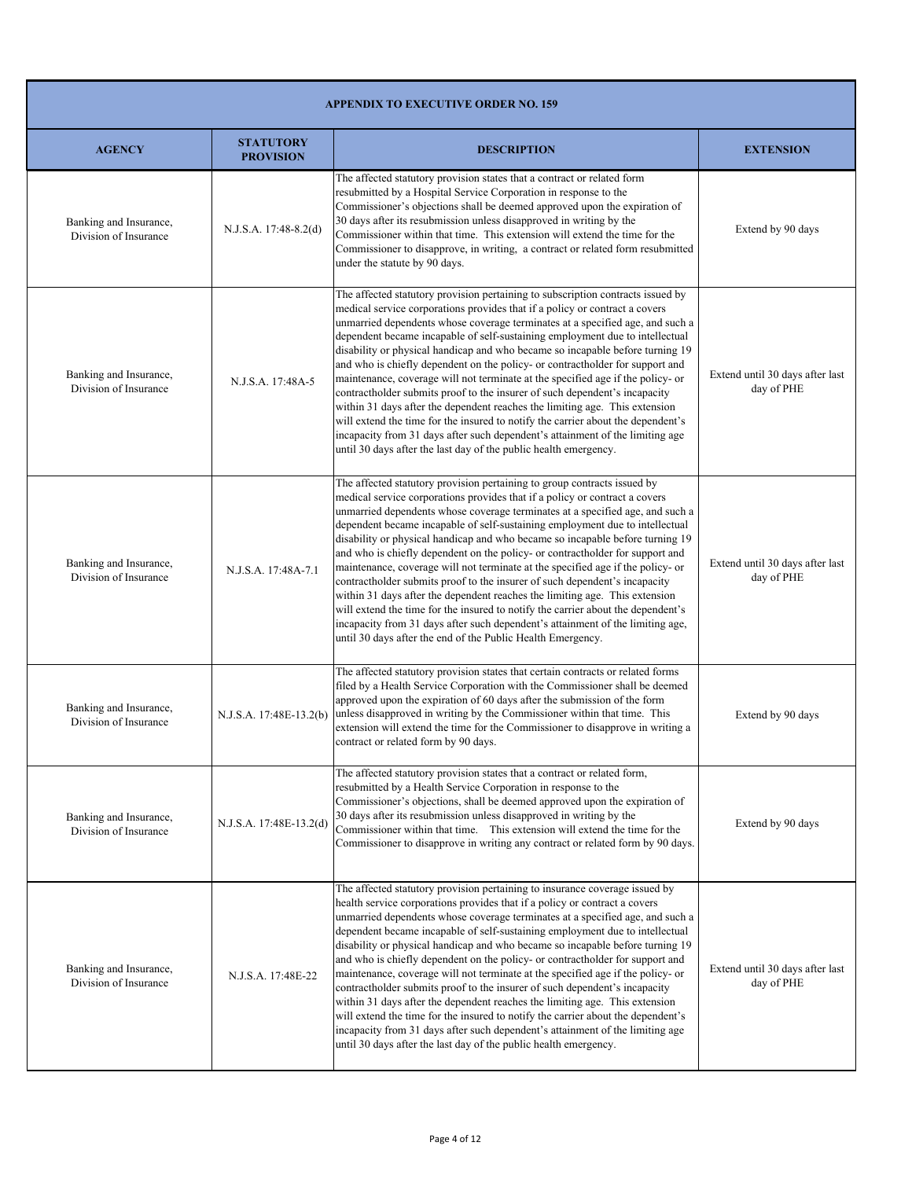| <b>APPENDIX TO EXECUTIVE ORDER NO. 159</b>      |                                      |                                                                                                                                                                                                                                                                                                                                                                                                                                                                                                                                                                                                                                                                                                                                                                                                                                                                                                                                                                                            |                                               |
|-------------------------------------------------|--------------------------------------|--------------------------------------------------------------------------------------------------------------------------------------------------------------------------------------------------------------------------------------------------------------------------------------------------------------------------------------------------------------------------------------------------------------------------------------------------------------------------------------------------------------------------------------------------------------------------------------------------------------------------------------------------------------------------------------------------------------------------------------------------------------------------------------------------------------------------------------------------------------------------------------------------------------------------------------------------------------------------------------------|-----------------------------------------------|
| <b>AGENCY</b>                                   | <b>STATUTORY</b><br><b>PROVISION</b> | <b>DESCRIPTION</b>                                                                                                                                                                                                                                                                                                                                                                                                                                                                                                                                                                                                                                                                                                                                                                                                                                                                                                                                                                         | <b>EXTENSION</b>                              |
| Banking and Insurance,<br>Division of Insurance | N.J.S.A. 17:48-8.2(d)                | The affected statutory provision states that a contract or related form<br>resubmitted by a Hospital Service Corporation in response to the<br>Commissioner's objections shall be deemed approved upon the expiration of<br>30 days after its resubmission unless disapproved in writing by the<br>Commissioner within that time. This extension will extend the time for the<br>Commissioner to disapprove, in writing, a contract or related form resubmitted<br>under the statute by 90 days.                                                                                                                                                                                                                                                                                                                                                                                                                                                                                           | Extend by 90 days                             |
| Banking and Insurance,<br>Division of Insurance | N.J.S.A. 17:48A-5                    | The affected statutory provision pertaining to subscription contracts issued by<br>medical service corporations provides that if a policy or contract a covers<br>unmarried dependents whose coverage terminates at a specified age, and such a<br>dependent became incapable of self-sustaining employment due to intellectual<br>disability or physical handicap and who became so incapable before turning 19<br>and who is chiefly dependent on the policy- or contractholder for support and<br>maintenance, coverage will not terminate at the specified age if the policy- or<br>contractholder submits proof to the insurer of such dependent's incapacity<br>within 31 days after the dependent reaches the limiting age. This extension<br>will extend the time for the insured to notify the carrier about the dependent's<br>incapacity from 31 days after such dependent's attainment of the limiting age<br>until 30 days after the last day of the public health emergency. | Extend until 30 days after last<br>day of PHE |
| Banking and Insurance,<br>Division of Insurance | N.J.S.A. 17:48A-7.1                  | The affected statutory provision pertaining to group contracts issued by<br>medical service corporations provides that if a policy or contract a covers<br>unmarried dependents whose coverage terminates at a specified age, and such a<br>dependent became incapable of self-sustaining employment due to intellectual<br>disability or physical handicap and who became so incapable before turning 19<br>and who is chiefly dependent on the policy- or contractholder for support and<br>maintenance, coverage will not terminate at the specified age if the policy- or<br>contractholder submits proof to the insurer of such dependent's incapacity<br>within 31 days after the dependent reaches the limiting age. This extension<br>will extend the time for the insured to notify the carrier about the dependent's<br>incapacity from 31 days after such dependent's attainment of the limiting age,<br>until 30 days after the end of the Public Health Emergency.            | Extend until 30 days after last<br>day of PHE |
| Banking and Insurance,<br>Division of Insurance | N.J.S.A. 17:48E-13.2(b)              | The affected statutory provision states that certain contracts or related forms<br>filed by a Health Service Corporation with the Commissioner shall be deemed<br>approved upon the expiration of 60 days after the submission of the form<br>unless disapproved in writing by the Commissioner within that time. This<br>extension will extend the time for the Commissioner to disapprove in writing a<br>contract or related form by 90 days.                                                                                                                                                                                                                                                                                                                                                                                                                                                                                                                                           | Extend by 90 days                             |
| Banking and Insurance,<br>Division of Insurance | N.J.S.A. 17:48E-13.2(d)              | The affected statutory provision states that a contract or related form,<br>resubmitted by a Health Service Corporation in response to the<br>Commissioner's objections, shall be deemed approved upon the expiration of<br>30 days after its resubmission unless disapproved in writing by the<br>Commissioner within that time. This extension will extend the time for the<br>Commissioner to disapprove in writing any contract or related form by 90 days.                                                                                                                                                                                                                                                                                                                                                                                                                                                                                                                            | Extend by 90 days                             |
| Banking and Insurance,<br>Division of Insurance | N.J.S.A. 17:48E-22                   | The affected statutory provision pertaining to insurance coverage issued by<br>health service corporations provides that if a policy or contract a covers<br>unmarried dependents whose coverage terminates at a specified age, and such a<br>dependent became incapable of self-sustaining employment due to intellectual<br>disability or physical handicap and who became so incapable before turning 19<br>and who is chiefly dependent on the policy- or contractholder for support and<br>maintenance, coverage will not terminate at the specified age if the policy- or<br>contractholder submits proof to the insurer of such dependent's incapacity<br>within 31 days after the dependent reaches the limiting age. This extension<br>will extend the time for the insured to notify the carrier about the dependent's<br>incapacity from 31 days after such dependent's attainment of the limiting age<br>until 30 days after the last day of the public health emergency.      | Extend until 30 days after last<br>day of PHE |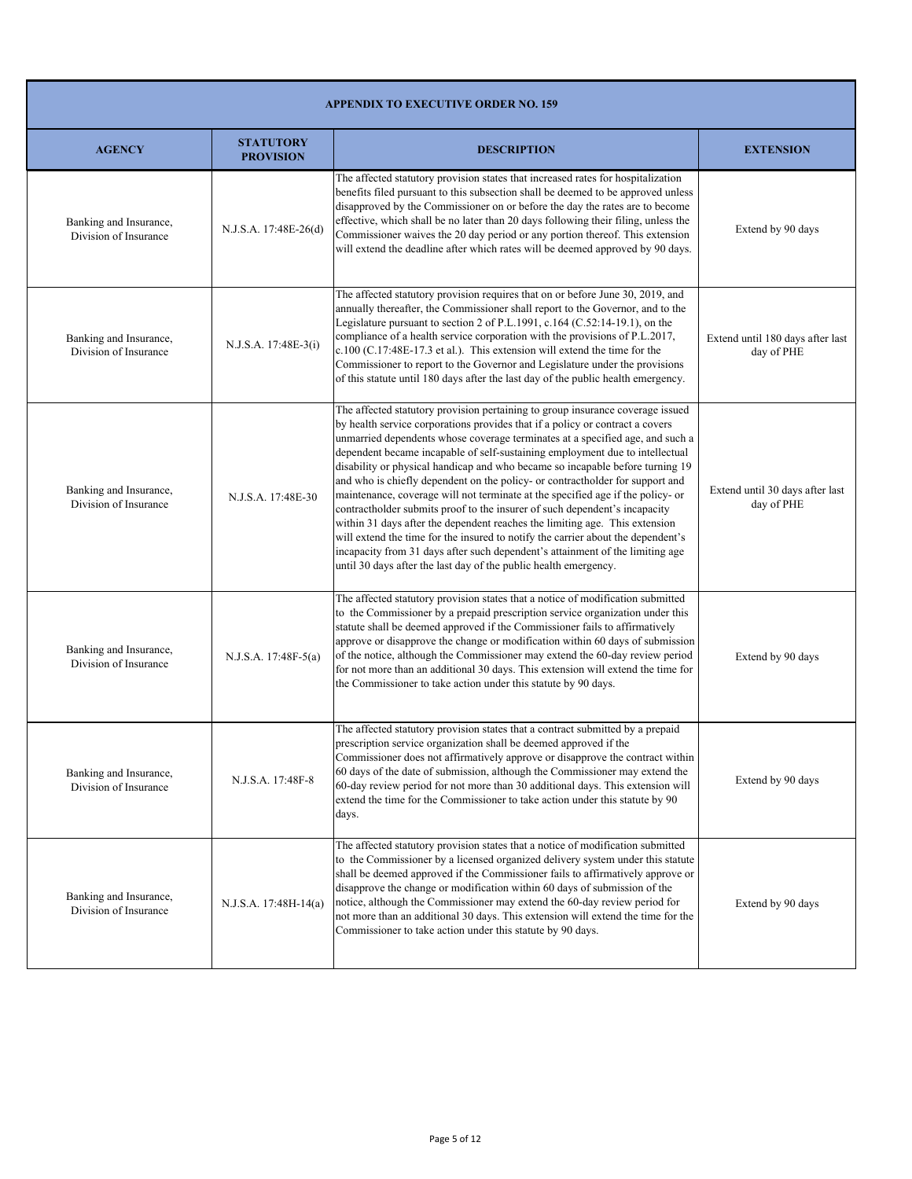| <b>APPENDIX TO EXECUTIVE ORDER NO. 159</b>      |                                      |                                                                                                                                                                                                                                                                                                                                                                                                                                                                                                                                                                                                                                                                                                                                                                                                                                                                                                                                                                                             |                                                |
|-------------------------------------------------|--------------------------------------|---------------------------------------------------------------------------------------------------------------------------------------------------------------------------------------------------------------------------------------------------------------------------------------------------------------------------------------------------------------------------------------------------------------------------------------------------------------------------------------------------------------------------------------------------------------------------------------------------------------------------------------------------------------------------------------------------------------------------------------------------------------------------------------------------------------------------------------------------------------------------------------------------------------------------------------------------------------------------------------------|------------------------------------------------|
| <b>AGENCY</b>                                   | <b>STATUTORY</b><br><b>PROVISION</b> | <b>DESCRIPTION</b>                                                                                                                                                                                                                                                                                                                                                                                                                                                                                                                                                                                                                                                                                                                                                                                                                                                                                                                                                                          | <b>EXTENSION</b>                               |
| Banking and Insurance,<br>Division of Insurance | N.J.S.A. 17:48E-26(d)                | The affected statutory provision states that increased rates for hospitalization<br>benefits filed pursuant to this subsection shall be deemed to be approved unless<br>disapproved by the Commissioner on or before the day the rates are to become<br>effective, which shall be no later than 20 days following their filing, unless the<br>Commissioner waives the 20 day period or any portion thereof. This extension<br>will extend the deadline after which rates will be deemed approved by 90 days.                                                                                                                                                                                                                                                                                                                                                                                                                                                                                | Extend by 90 days                              |
| Banking and Insurance,<br>Division of Insurance | N.J.S.A. 17:48E-3(i)                 | The affected statutory provision requires that on or before June 30, 2019, and<br>annually thereafter, the Commissioner shall report to the Governor, and to the<br>Legislature pursuant to section 2 of P.L.1991, c.164 (C.52:14-19.1), on the<br>compliance of a health service corporation with the provisions of P.L.2017,<br>c.100 (C.17:48E-17.3 et al.). This extension will extend the time for the<br>Commissioner to report to the Governor and Legislature under the provisions<br>of this statute until 180 days after the last day of the public health emergency.                                                                                                                                                                                                                                                                                                                                                                                                             | Extend until 180 days after last<br>day of PHE |
| Banking and Insurance,<br>Division of Insurance | N.J.S.A. 17:48E-30                   | The affected statutory provision pertaining to group insurance coverage issued<br>by health service corporations provides that if a policy or contract a covers<br>unmarried dependents whose coverage terminates at a specified age, and such a<br>dependent became incapable of self-sustaining employment due to intellectual<br>disability or physical handicap and who became so incapable before turning 19<br>and who is chiefly dependent on the policy- or contractholder for support and<br>maintenance, coverage will not terminate at the specified age if the policy- or<br>contractholder submits proof to the insurer of such dependent's incapacity<br>within 31 days after the dependent reaches the limiting age. This extension<br>will extend the time for the insured to notify the carrier about the dependent's<br>incapacity from 31 days after such dependent's attainment of the limiting age<br>until 30 days after the last day of the public health emergency. | Extend until 30 days after last<br>day of PHE  |
| Banking and Insurance,<br>Division of Insurance | N.J.S.A. 17:48F-5(a)                 | The affected statutory provision states that a notice of modification submitted<br>to the Commissioner by a prepaid prescription service organization under this<br>statute shall be deemed approved if the Commissioner fails to affirmatively<br>approve or disapprove the change or modification within 60 days of submission<br>of the notice, although the Commissioner may extend the 60-day review period<br>for not more than an additional 30 days. This extension will extend the time for<br>the Commissioner to take action under this statute by 90 days.                                                                                                                                                                                                                                                                                                                                                                                                                      | Extend by 90 days                              |
| Banking and Insurance,<br>Division of Insurance | N.J.S.A. 17:48F-8                    | The affected statutory provision states that a contract submitted by a prepaid<br>prescription service organization shall be deemed approved if the<br>Commissioner does not affirmatively approve or disapprove the contract within<br>60 days of the date of submission, although the Commissioner may extend the<br>60-day review period for not more than 30 additional days. This extension will<br>extend the time for the Commissioner to take action under this statute by 90<br>days.                                                                                                                                                                                                                                                                                                                                                                                                                                                                                              | Extend by 90 days                              |
| Banking and Insurance,<br>Division of Insurance | N.J.S.A. 17:48H-14(a)                | The affected statutory provision states that a notice of modification submitted<br>to the Commissioner by a licensed organized delivery system under this statute<br>shall be deemed approved if the Commissioner fails to affirmatively approve or<br>disapprove the change or modification within 60 days of submission of the<br>notice, although the Commissioner may extend the 60-day review period for<br>not more than an additional 30 days. This extension will extend the time for the<br>Commissioner to take action under this statute by 90 days.                                                                                                                                                                                                                                                                                                                                                                                                                             | Extend by 90 days                              |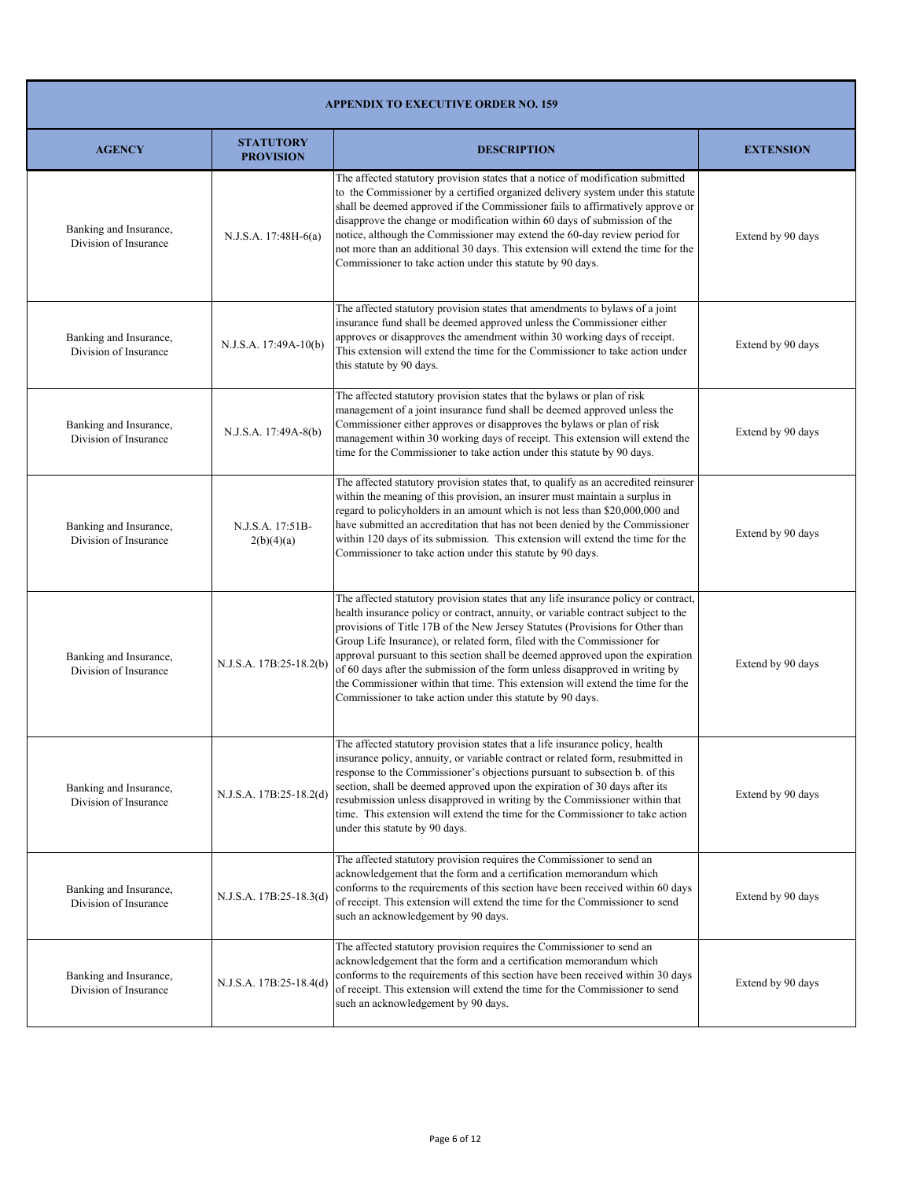| <b>APPENDIX TO EXECUTIVE ORDER NO. 159</b>      |                                      |                                                                                                                                                                                                                                                                                                                                                                                                                                                                                                                                                                                                                                                        |                   |
|-------------------------------------------------|--------------------------------------|--------------------------------------------------------------------------------------------------------------------------------------------------------------------------------------------------------------------------------------------------------------------------------------------------------------------------------------------------------------------------------------------------------------------------------------------------------------------------------------------------------------------------------------------------------------------------------------------------------------------------------------------------------|-------------------|
| <b>AGENCY</b>                                   | <b>STATUTORY</b><br><b>PROVISION</b> | <b>DESCRIPTION</b>                                                                                                                                                                                                                                                                                                                                                                                                                                                                                                                                                                                                                                     | <b>EXTENSION</b>  |
| Banking and Insurance,<br>Division of Insurance | $N.J.S.A. 17:48H-6(a)$               | The affected statutory provision states that a notice of modification submitted<br>to the Commissioner by a certified organized delivery system under this statute<br>shall be deemed approved if the Commissioner fails to affirmatively approve or<br>disapprove the change or modification within 60 days of submission of the<br>notice, although the Commissioner may extend the 60-day review period for<br>not more than an additional 30 days. This extension will extend the time for the<br>Commissioner to take action under this statute by 90 days.                                                                                       | Extend by 90 days |
| Banking and Insurance,<br>Division of Insurance | N.J.S.A. 17:49A-10(b)                | The affected statutory provision states that amendments to bylaws of a joint<br>insurance fund shall be deemed approved unless the Commissioner either<br>approves or disapproves the amendment within 30 working days of receipt.<br>This extension will extend the time for the Commissioner to take action under<br>this statute by 90 days.                                                                                                                                                                                                                                                                                                        | Extend by 90 days |
| Banking and Insurance,<br>Division of Insurance | N.J.S.A. 17:49A-8(b)                 | The affected statutory provision states that the bylaws or plan of risk<br>management of a joint insurance fund shall be deemed approved unless the<br>Commissioner either approves or disapproves the bylaws or plan of risk<br>management within 30 working days of receipt. This extension will extend the<br>time for the Commissioner to take action under this statute by 90 days.                                                                                                                                                                                                                                                               | Extend by 90 days |
| Banking and Insurance,<br>Division of Insurance | N.J.S.A. 17:51B-<br>2(b)(4)(a)       | The affected statutory provision states that, to qualify as an accredited reinsurer<br>within the meaning of this provision, an insurer must maintain a surplus in<br>regard to policyholders in an amount which is not less than \$20,000,000 and<br>have submitted an accreditation that has not been denied by the Commissioner<br>within 120 days of its submission. This extension will extend the time for the<br>Commissioner to take action under this statute by 90 days.                                                                                                                                                                     | Extend by 90 days |
| Banking and Insurance,<br>Division of Insurance | N.J.S.A. 17B:25-18.2(b)              | The affected statutory provision states that any life insurance policy or contract,<br>health insurance policy or contract, annuity, or variable contract subject to the<br>provisions of Title 17B of the New Jersey Statutes (Provisions for Other than<br>Group Life Insurance), or related form, filed with the Commissioner for<br>approval pursuant to this section shall be deemed approved upon the expiration<br>of 60 days after the submission of the form unless disapproved in writing by<br>the Commissioner within that time. This extension will extend the time for the<br>Commissioner to take action under this statute by 90 days. | Extend by 90 days |
| Banking and Insurance,<br>Division of Insurance | N.J.S.A. 17B:25-18.2(d)              | The affected statutory provision states that a life insurance policy, health<br>insurance policy, annuity, or variable contract or related form, resubmitted in<br>response to the Commissioner's objections pursuant to subsection b. of this<br>section, shall be deemed approved upon the expiration of 30 days after its<br>resubmission unless disapproved in writing by the Commissioner within that<br>time. This extension will extend the time for the Commissioner to take action<br>under this statute by 90 days.                                                                                                                          | Extend by 90 days |
| Banking and Insurance,<br>Division of Insurance | N.J.S.A. 17B:25-18.3(d)              | The affected statutory provision requires the Commissioner to send an<br>acknowledgement that the form and a certification memorandum which<br>conforms to the requirements of this section have been received within 60 days<br>of receipt. This extension will extend the time for the Commissioner to send<br>such an acknowledgement by 90 days.                                                                                                                                                                                                                                                                                                   | Extend by 90 days |
| Banking and Insurance,<br>Division of Insurance | N.J.S.A. 17B:25-18.4(d)              | The affected statutory provision requires the Commissioner to send an<br>acknowledgement that the form and a certification memorandum which<br>conforms to the requirements of this section have been received within 30 days<br>of receipt. This extension will extend the time for the Commissioner to send<br>such an acknowledgement by 90 days.                                                                                                                                                                                                                                                                                                   | Extend by 90 days |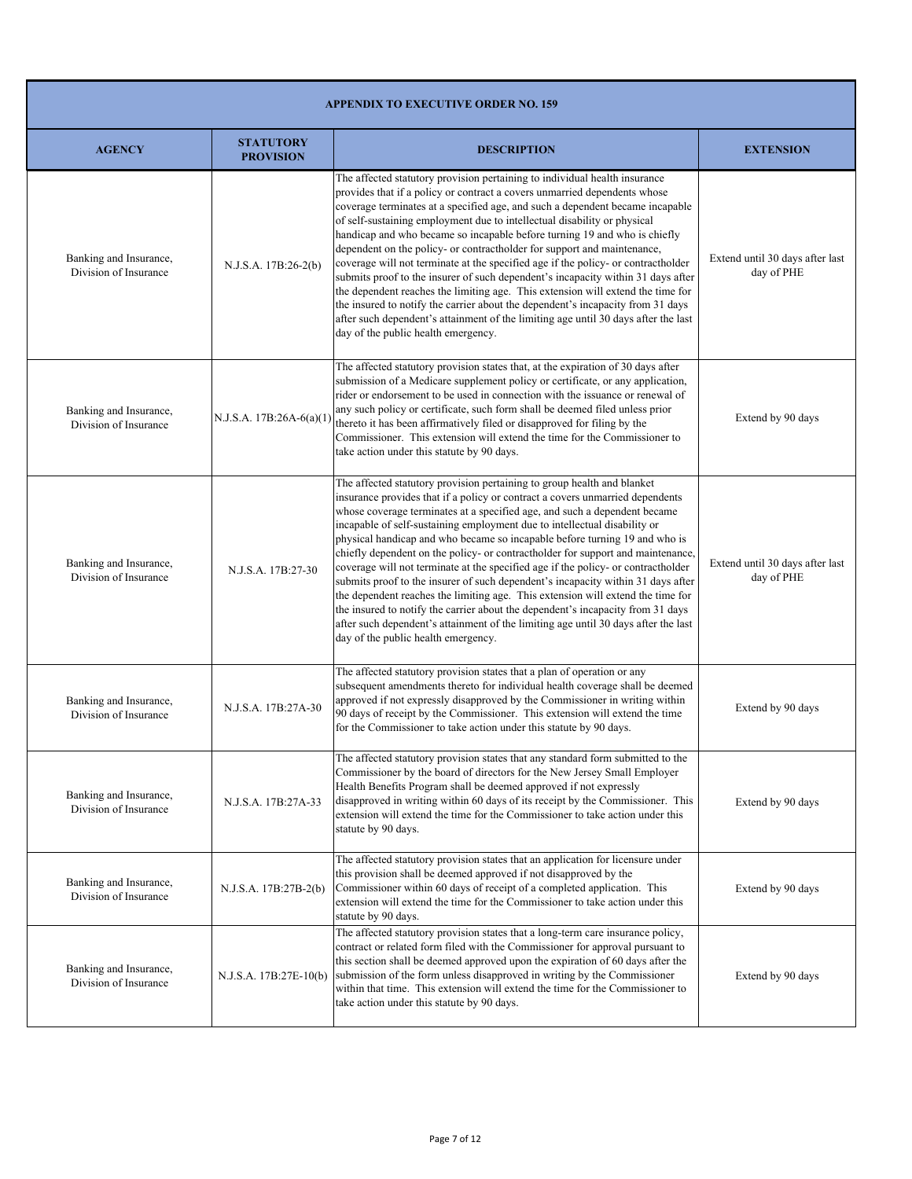| <b>APPENDIX TO EXECUTIVE ORDER NO. 159</b>      |                                      |                                                                                                                                                                                                                                                                                                                                                                                                                                                                                                                                                                                                                                                                                                                                                                                                                                                                                                                                                                 |                                               |
|-------------------------------------------------|--------------------------------------|-----------------------------------------------------------------------------------------------------------------------------------------------------------------------------------------------------------------------------------------------------------------------------------------------------------------------------------------------------------------------------------------------------------------------------------------------------------------------------------------------------------------------------------------------------------------------------------------------------------------------------------------------------------------------------------------------------------------------------------------------------------------------------------------------------------------------------------------------------------------------------------------------------------------------------------------------------------------|-----------------------------------------------|
| <b>AGENCY</b>                                   | <b>STATUTORY</b><br><b>PROVISION</b> | <b>DESCRIPTION</b>                                                                                                                                                                                                                                                                                                                                                                                                                                                                                                                                                                                                                                                                                                                                                                                                                                                                                                                                              | <b>EXTENSION</b>                              |
| Banking and Insurance,<br>Division of Insurance | N.J.S.A. 17B:26-2(b)                 | The affected statutory provision pertaining to individual health insurance<br>provides that if a policy or contract a covers unmarried dependents whose<br>coverage terminates at a specified age, and such a dependent became incapable<br>of self-sustaining employment due to intellectual disability or physical<br>handicap and who became so incapable before turning 19 and who is chiefly<br>dependent on the policy- or contractholder for support and maintenance,<br>coverage will not terminate at the specified age if the policy- or contractholder<br>submits proof to the insurer of such dependent's incapacity within 31 days after<br>the dependent reaches the limiting age. This extension will extend the time for<br>the insured to notify the carrier about the dependent's incapacity from 31 days<br>after such dependent's attainment of the limiting age until 30 days after the last<br>day of the public health emergency.        | Extend until 30 days after last<br>day of PHE |
| Banking and Insurance,<br>Division of Insurance | N.J.S.A. 17B:26A-6(a)(1              | The affected statutory provision states that, at the expiration of 30 days after<br>submission of a Medicare supplement policy or certificate, or any application,<br>rider or endorsement to be used in connection with the issuance or renewal of<br>any such policy or certificate, such form shall be deemed filed unless prior<br>thereto it has been affirmatively filed or disapproved for filing by the<br>Commissioner. This extension will extend the time for the Commissioner to<br>take action under this statute by 90 days.                                                                                                                                                                                                                                                                                                                                                                                                                      | Extend by 90 days                             |
| Banking and Insurance,<br>Division of Insurance | N.J.S.A. 17B:27-30                   | The affected statutory provision pertaining to group health and blanket<br>insurance provides that if a policy or contract a covers unmarried dependents<br>whose coverage terminates at a specified age, and such a dependent became<br>incapable of self-sustaining employment due to intellectual disability or<br>physical handicap and who became so incapable before turning 19 and who is<br>chiefly dependent on the policy- or contractholder for support and maintenance,<br>coverage will not terminate at the specified age if the policy- or contractholder<br>submits proof to the insurer of such dependent's incapacity within 31 days after<br>the dependent reaches the limiting age. This extension will extend the time for<br>the insured to notify the carrier about the dependent's incapacity from 31 days<br>after such dependent's attainment of the limiting age until 30 days after the last<br>day of the public health emergency. | Extend until 30 days after last<br>day of PHE |
| Banking and Insurance,<br>Division of Insurance | N.J.S.A. 17B:27A-30                  | The affected statutory provision states that a plan of operation or any<br>subsequent amendments thereto for individual health coverage shall be deemed<br>approved if not expressly disapproved by the Commissioner in writing within<br>90 days of receipt by the Commissioner. This extension will extend the time<br>for the Commissioner to take action under this statute by 90 days.                                                                                                                                                                                                                                                                                                                                                                                                                                                                                                                                                                     | Extend by 90 days                             |
| Banking and Insurance,<br>Division of Insurance | N.J.S.A. 17B:27A-33                  | The affected statutory provision states that any standard form submitted to the<br>Commissioner by the board of directors for the New Jersey Small Employer<br>Health Benefits Program shall be deemed approved if not expressly<br>disapproved in writing within 60 days of its receipt by the Commissioner. This<br>extension will extend the time for the Commissioner to take action under this<br>statute by 90 days.                                                                                                                                                                                                                                                                                                                                                                                                                                                                                                                                      | Extend by 90 days                             |
| Banking and Insurance,<br>Division of Insurance | N.J.S.A. 17B:27B-2(b)                | The affected statutory provision states that an application for licensure under<br>this provision shall be deemed approved if not disapproved by the<br>Commissioner within 60 days of receipt of a completed application. This<br>extension will extend the time for the Commissioner to take action under this<br>statute by 90 days.                                                                                                                                                                                                                                                                                                                                                                                                                                                                                                                                                                                                                         | Extend by 90 days                             |
| Banking and Insurance,<br>Division of Insurance | N.J.S.A. 17B:27E-10(b)               | The affected statutory provision states that a long-term care insurance policy,<br>contract or related form filed with the Commissioner for approval pursuant to<br>this section shall be deemed approved upon the expiration of 60 days after the<br>submission of the form unless disapproved in writing by the Commissioner<br>within that time. This extension will extend the time for the Commissioner to<br>take action under this statute by 90 days.                                                                                                                                                                                                                                                                                                                                                                                                                                                                                                   | Extend by 90 days                             |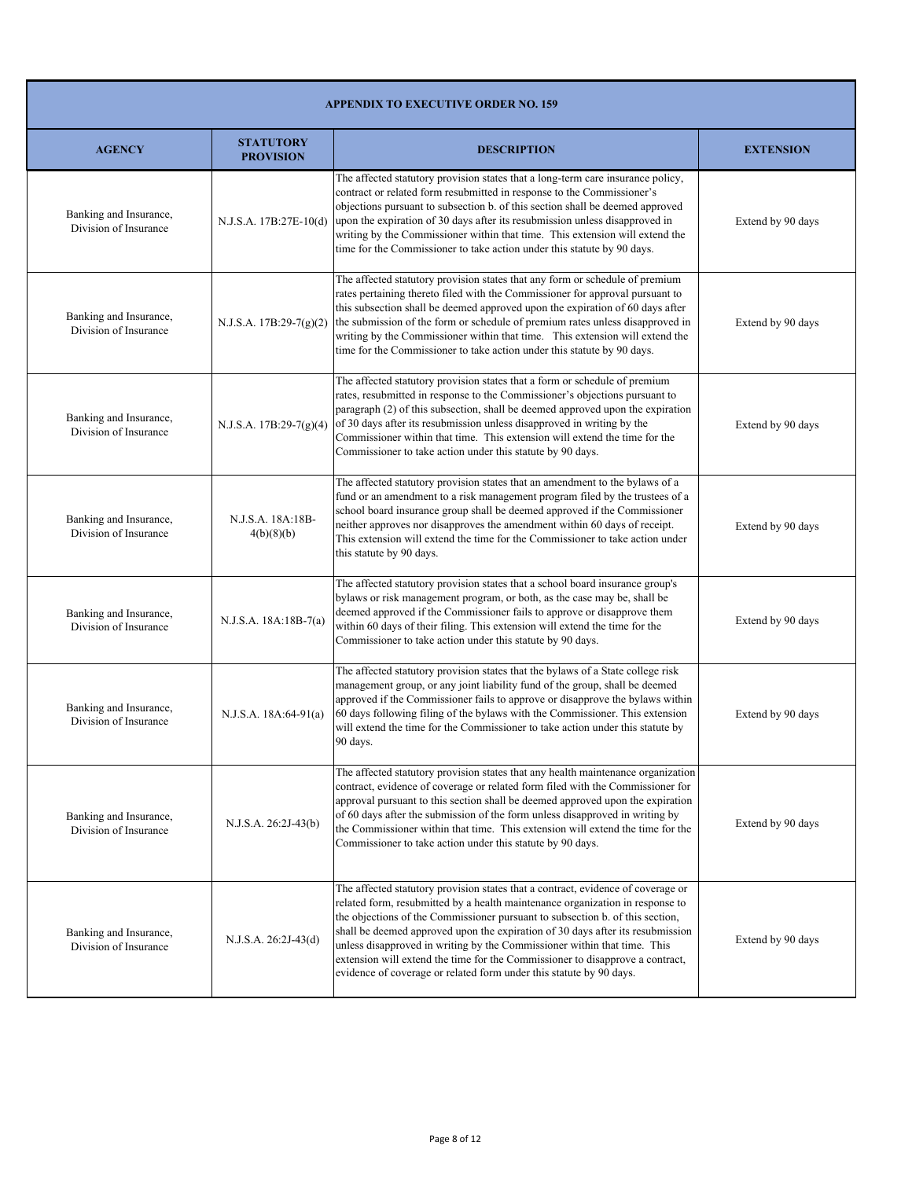|                                                 | <b>APPENDIX TO EXECUTIVE ORDER NO. 159</b> |                                                                                                                                                                                                                                                                                                                                                                                                                                                                                                                                                                          |                   |  |
|-------------------------------------------------|--------------------------------------------|--------------------------------------------------------------------------------------------------------------------------------------------------------------------------------------------------------------------------------------------------------------------------------------------------------------------------------------------------------------------------------------------------------------------------------------------------------------------------------------------------------------------------------------------------------------------------|-------------------|--|
| <b>AGENCY</b>                                   | <b>STATUTORY</b><br><b>PROVISION</b>       | <b>DESCRIPTION</b>                                                                                                                                                                                                                                                                                                                                                                                                                                                                                                                                                       | <b>EXTENSION</b>  |  |
| Banking and Insurance,<br>Division of Insurance | N.J.S.A. 17B:27E-10(d)                     | The affected statutory provision states that a long-term care insurance policy,<br>contract or related form resubmitted in response to the Commissioner's<br>objections pursuant to subsection b. of this section shall be deemed approved<br>upon the expiration of 30 days after its resubmission unless disapproved in<br>writing by the Commissioner within that time. This extension will extend the<br>time for the Commissioner to take action under this statute by 90 days.                                                                                     | Extend by 90 days |  |
| Banking and Insurance,<br>Division of Insurance | N.J.S.A. 17B:29-7(g)(2)                    | The affected statutory provision states that any form or schedule of premium<br>rates pertaining thereto filed with the Commissioner for approval pursuant to<br>this subsection shall be deemed approved upon the expiration of 60 days after<br>the submission of the form or schedule of premium rates unless disapproved in<br>writing by the Commissioner within that time. This extension will extend the<br>time for the Commissioner to take action under this statute by 90 days.                                                                               | Extend by 90 days |  |
| Banking and Insurance,<br>Division of Insurance | N.J.S.A. $17B:29-7(g)(4)$                  | The affected statutory provision states that a form or schedule of premium<br>rates, resubmitted in response to the Commissioner's objections pursuant to<br>paragraph (2) of this subsection, shall be deemed approved upon the expiration<br>of 30 days after its resubmission unless disapproved in writing by the<br>Commissioner within that time. This extension will extend the time for the<br>Commissioner to take action under this statute by 90 days.                                                                                                        | Extend by 90 days |  |
| Banking and Insurance,<br>Division of Insurance | N.J.S.A. 18A:18B-<br>4(b)(8)(b)            | The affected statutory provision states that an amendment to the bylaws of a<br>fund or an amendment to a risk management program filed by the trustees of a<br>school board insurance group shall be deemed approved if the Commissioner<br>neither approves nor disapproves the amendment within 60 days of receipt.<br>This extension will extend the time for the Commissioner to take action under<br>this statute by 90 days.                                                                                                                                      | Extend by 90 days |  |
| Banking and Insurance,<br>Division of Insurance | N.J.S.A. 18A:18B-7(a)                      | The affected statutory provision states that a school board insurance group's<br>bylaws or risk management program, or both, as the case may be, shall be<br>deemed approved if the Commissioner fails to approve or disapprove them<br>within 60 days of their filing. This extension will extend the time for the<br>Commissioner to take action under this statute by 90 days.                                                                                                                                                                                        | Extend by 90 days |  |
| Banking and Insurance,<br>Division of Insurance | N.J.S.A. 18A:64-91(a)                      | The affected statutory provision states that the bylaws of a State college risk<br>management group, or any joint liability fund of the group, shall be deemed<br>approved if the Commissioner fails to approve or disapprove the bylaws within<br>60 days following filing of the bylaws with the Commissioner. This extension<br>will extend the time for the Commissioner to take action under this statute by<br>90 days.                                                                                                                                            | Extend by 90 days |  |
| Banking and Insurance,<br>Division of Insurance | N.J.S.A. 26:2J-43(b)                       | The affected statutory provision states that any health maintenance organization<br>contract, evidence of coverage or related form filed with the Commissioner for<br>approval pursuant to this section shall be deemed approved upon the expiration<br>of 60 days after the submission of the form unless disapproved in writing by<br>the Commissioner within that time. This extension will extend the time for the<br>Commissioner to take action under this statute by 90 days.                                                                                     | Extend by 90 days |  |
| Banking and Insurance,<br>Division of Insurance | N.J.S.A. 26:2J-43(d)                       | The affected statutory provision states that a contract, evidence of coverage or<br>related form, resubmitted by a health maintenance organization in response to<br>the objections of the Commissioner pursuant to subsection b. of this section,<br>shall be deemed approved upon the expiration of 30 days after its resubmission<br>unless disapproved in writing by the Commissioner within that time. This<br>extension will extend the time for the Commissioner to disapprove a contract,<br>evidence of coverage or related form under this statute by 90 days. | Extend by 90 days |  |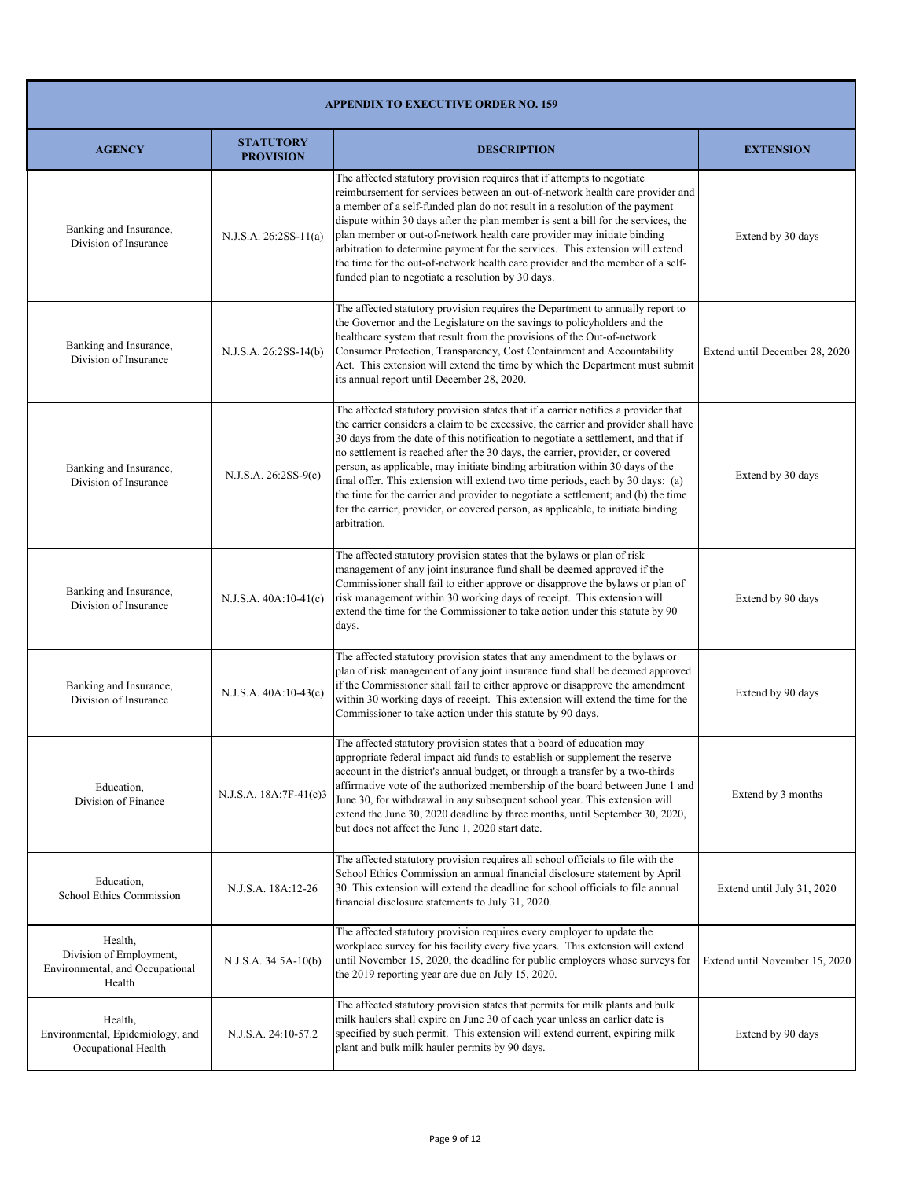| <b>APPENDIX TO EXECUTIVE ORDER NO. 159</b>                                      |                                      |                                                                                                                                                                                                                                                                                                                                                                                                                                                                                                                                                                                                                                                                                                            |                                |
|---------------------------------------------------------------------------------|--------------------------------------|------------------------------------------------------------------------------------------------------------------------------------------------------------------------------------------------------------------------------------------------------------------------------------------------------------------------------------------------------------------------------------------------------------------------------------------------------------------------------------------------------------------------------------------------------------------------------------------------------------------------------------------------------------------------------------------------------------|--------------------------------|
| <b>AGENCY</b>                                                                   | <b>STATUTORY</b><br><b>PROVISION</b> | <b>DESCRIPTION</b>                                                                                                                                                                                                                                                                                                                                                                                                                                                                                                                                                                                                                                                                                         | <b>EXTENSION</b>               |
| Banking and Insurance,<br>Division of Insurance                                 | $N.J.S.A. 26:2SS-11(a)$              | The affected statutory provision requires that if attempts to negotiate<br>reimbursement for services between an out-of-network health care provider and<br>a member of a self-funded plan do not result in a resolution of the payment<br>dispute within 30 days after the plan member is sent a bill for the services, the<br>plan member or out-of-network health care provider may initiate binding<br>arbitration to determine payment for the services. This extension will extend<br>the time for the out-of-network health care provider and the member of a self-<br>funded plan to negotiate a resolution by 30 days.                                                                            | Extend by 30 days              |
| Banking and Insurance,<br>Division of Insurance                                 | N.J.S.A. 26:2SS-14(b)                | The affected statutory provision requires the Department to annually report to<br>the Governor and the Legislature on the savings to policyholders and the<br>healthcare system that result from the provisions of the Out-of-network<br>Consumer Protection, Transparency, Cost Containment and Accountability<br>Act. This extension will extend the time by which the Department must submit<br>its annual report until December 28, 2020.                                                                                                                                                                                                                                                              | Extend until December 28, 2020 |
| Banking and Insurance,<br>Division of Insurance                                 | N.J.S.A. 26:2SS-9(c)                 | The affected statutory provision states that if a carrier notifies a provider that<br>the carrier considers a claim to be excessive, the carrier and provider shall have<br>30 days from the date of this notification to negotiate a settlement, and that if<br>no settlement is reached after the 30 days, the carrier, provider, or covered<br>person, as applicable, may initiate binding arbitration within 30 days of the<br>final offer. This extension will extend two time periods, each by 30 days: (a)<br>the time for the carrier and provider to negotiate a settlement; and (b) the time<br>for the carrier, provider, or covered person, as applicable, to initiate binding<br>arbitration. | Extend by 30 days              |
| Banking and Insurance,<br>Division of Insurance                                 | $N.J.S.A. 40A:10-41(c)$              | The affected statutory provision states that the bylaws or plan of risk<br>management of any joint insurance fund shall be deemed approved if the<br>Commissioner shall fail to either approve or disapprove the bylaws or plan of<br>risk management within 30 working days of receipt. This extension will<br>extend the time for the Commissioner to take action under this statute by 90<br>days.                                                                                                                                                                                                                                                                                                      | Extend by 90 days              |
| Banking and Insurance,<br>Division of Insurance                                 | $N.J.S.A. 40A:10-43(c)$              | The affected statutory provision states that any amendment to the bylaws or<br>plan of risk management of any joint insurance fund shall be deemed approved<br>if the Commissioner shall fail to either approve or disapprove the amendment<br>within 30 working days of receipt. This extension will extend the time for the<br>Commissioner to take action under this statute by 90 days.                                                                                                                                                                                                                                                                                                                | Extend by 90 days              |
| Education,<br>Division of Finance                                               | N.J.S.A. 18A:7F-41(c)3               | The affected statutory provision states that a board of education may<br>appropriate federal impact aid funds to establish or supplement the reserve<br>account in the district's annual budget, or through a transfer by a two-thirds<br>affirmative vote of the authorized membership of the board between June 1 and<br>June 30, for withdrawal in any subsequent school year. This extension will<br>extend the June 30, 2020 deadline by three months, until September 30, 2020,<br>but does not affect the June 1, 2020 start date.                                                                                                                                                                  | Extend by 3 months             |
| Education,<br>School Ethics Commission                                          | N.J.S.A. 18A:12-26                   | The affected statutory provision requires all school officials to file with the<br>School Ethics Commission an annual financial disclosure statement by April<br>30. This extension will extend the deadline for school officials to file annual<br>financial disclosure statements to July 31, 2020.                                                                                                                                                                                                                                                                                                                                                                                                      | Extend until July 31, 2020     |
| Health,<br>Division of Employment,<br>Environmental, and Occupational<br>Health | N.J.S.A. 34:5A-10(b)                 | The affected statutory provision requires every employer to update the<br>workplace survey for his facility every five years. This extension will extend<br>until November 15, 2020, the deadline for public employers whose surveys for<br>the 2019 reporting year are due on July 15, 2020.                                                                                                                                                                                                                                                                                                                                                                                                              | Extend until November 15, 2020 |
| Health,<br>Environmental, Epidemiology, and<br>Occupational Health              | N.J.S.A. 24:10-57.2                  | The affected statutory provision states that permits for milk plants and bulk<br>milk haulers shall expire on June 30 of each year unless an earlier date is<br>specified by such permit. This extension will extend current, expiring milk<br>plant and bulk milk hauler permits by 90 days.                                                                                                                                                                                                                                                                                                                                                                                                              | Extend by 90 days              |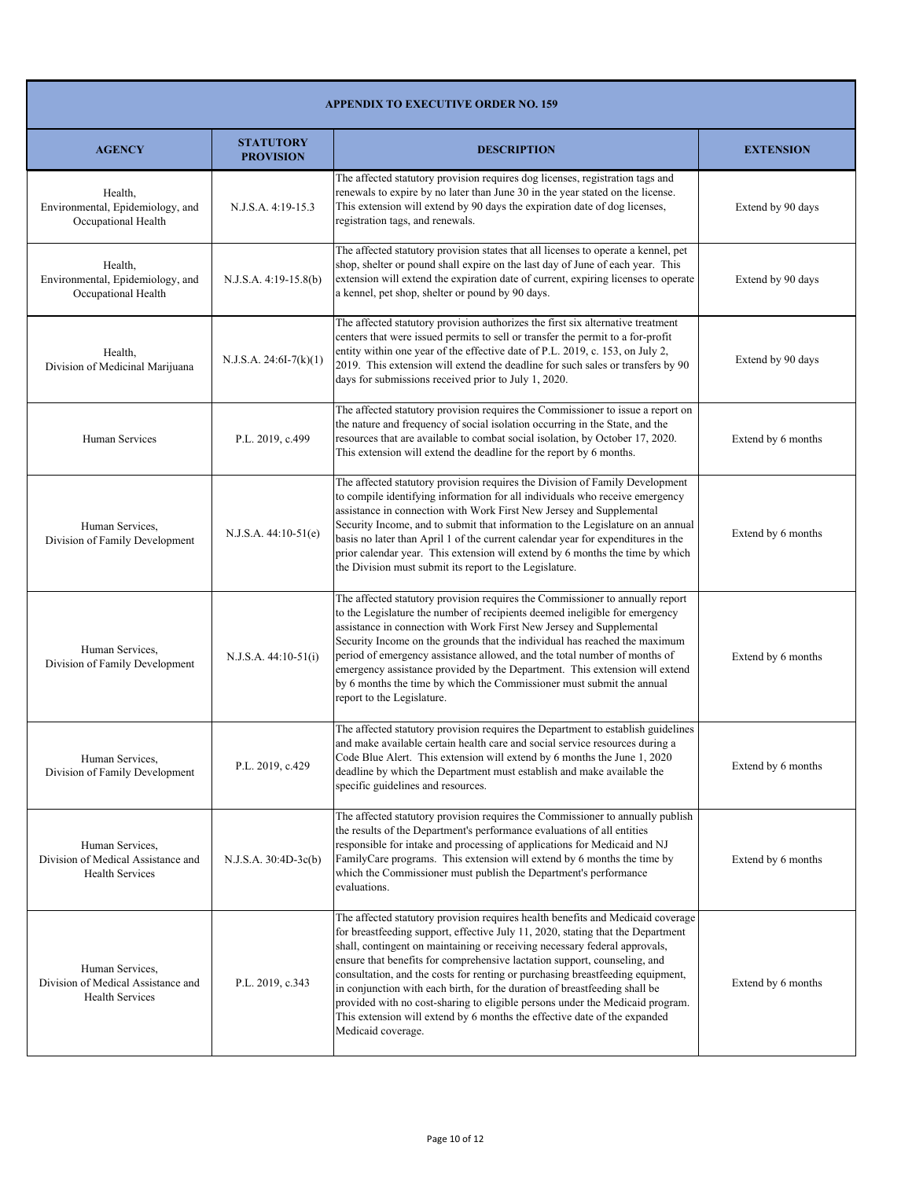| <b>APPENDIX TO EXECUTIVE ORDER NO. 159</b>                                      |                                      |                                                                                                                                                                                                                                                                                                                                                                                                                                                                                                                                                                                                                                                                                   |                    |
|---------------------------------------------------------------------------------|--------------------------------------|-----------------------------------------------------------------------------------------------------------------------------------------------------------------------------------------------------------------------------------------------------------------------------------------------------------------------------------------------------------------------------------------------------------------------------------------------------------------------------------------------------------------------------------------------------------------------------------------------------------------------------------------------------------------------------------|--------------------|
| <b>AGENCY</b>                                                                   | <b>STATUTORY</b><br><b>PROVISION</b> | <b>DESCRIPTION</b>                                                                                                                                                                                                                                                                                                                                                                                                                                                                                                                                                                                                                                                                | <b>EXTENSION</b>   |
| Health,<br>Environmental, Epidemiology, and<br>Occupational Health              | N.J.S.A. 4:19-15.3                   | The affected statutory provision requires dog licenses, registration tags and<br>renewals to expire by no later than June 30 in the year stated on the license.<br>This extension will extend by 90 days the expiration date of dog licenses,<br>registration tags, and renewals.                                                                                                                                                                                                                                                                                                                                                                                                 | Extend by 90 days  |
| Health,<br>Environmental, Epidemiology, and<br>Occupational Health              | N.J.S.A. 4:19-15.8(b)                | The affected statutory provision states that all licenses to operate a kennel, pet<br>shop, shelter or pound shall expire on the last day of June of each year. This<br>extension will extend the expiration date of current, expiring licenses to operate<br>a kennel, pet shop, shelter or pound by 90 days.                                                                                                                                                                                                                                                                                                                                                                    | Extend by 90 days  |
| Health,<br>Division of Medicinal Marijuana                                      | $N.J.S.A. 24:6I-7(k)(1)$             | The affected statutory provision authorizes the first six alternative treatment<br>centers that were issued permits to sell or transfer the permit to a for-profit<br>entity within one year of the effective date of P.L. 2019, c. 153, on July 2,<br>2019. This extension will extend the deadline for such sales or transfers by 90<br>days for submissions received prior to July 1, 2020.                                                                                                                                                                                                                                                                                    | Extend by 90 days  |
| Human Services                                                                  | P.L. 2019, c.499                     | The affected statutory provision requires the Commissioner to issue a report on<br>the nature and frequency of social isolation occurring in the State, and the<br>resources that are available to combat social isolation, by October 17, 2020.<br>This extension will extend the deadline for the report by 6 months.                                                                                                                                                                                                                                                                                                                                                           | Extend by 6 months |
| Human Services,<br>Division of Family Development                               | $N.J.S.A. 44:10-51(e)$               | The affected statutory provision requires the Division of Family Development<br>to compile identifying information for all individuals who receive emergency<br>assistance in connection with Work First New Jersey and Supplemental<br>Security Income, and to submit that information to the Legislature on an annual<br>basis no later than April 1 of the current calendar year for expenditures in the<br>prior calendar year. This extension will extend by 6 months the time by which<br>the Division must submit its report to the Legislature.                                                                                                                           | Extend by 6 months |
| Human Services,<br>Division of Family Development                               | $N.J.S.A. 44:10-51(i)$               | The affected statutory provision requires the Commissioner to annually report<br>to the Legislature the number of recipients deemed ineligible for emergency<br>assistance in connection with Work First New Jersey and Supplemental<br>Security Income on the grounds that the individual has reached the maximum<br>period of emergency assistance allowed, and the total number of months of<br>emergency assistance provided by the Department. This extension will extend<br>by 6 months the time by which the Commissioner must submit the annual<br>report to the Legislature.                                                                                             | Extend by 6 months |
| Human Services.<br>Division of Family Development                               | P.L. 2019, c.429                     | The affected statutory provision requires the Department to establish guidelines<br>and make available certain health care and social service resources during a<br>Code Blue Alert. This extension will extend by 6 months the June 1, 2020<br>deadline by which the Department must establish and make available the<br>specific guidelines and resources.                                                                                                                                                                                                                                                                                                                      | Extend by 6 months |
| Human Services,<br>Division of Medical Assistance and<br><b>Health Services</b> | N.J.S.A. 30:4D-3c(b)                 | The affected statutory provision requires the Commissioner to annually publish<br>the results of the Department's performance evaluations of all entities<br>responsible for intake and processing of applications for Medicaid and NJ<br>FamilyCare programs. This extension will extend by 6 months the time by<br>which the Commissioner must publish the Department's performance<br>evaluations.                                                                                                                                                                                                                                                                             | Extend by 6 months |
| Human Services,<br>Division of Medical Assistance and<br>Health Services        | P.L. 2019, c.343                     | The affected statutory provision requires health benefits and Medicaid coverage<br>for breastfeeding support, effective July 11, 2020, stating that the Department<br>shall, contingent on maintaining or receiving necessary federal approvals,<br>ensure that benefits for comprehensive lactation support, counseling, and<br>consultation, and the costs for renting or purchasing breastfeeding equipment,<br>in conjunction with each birth, for the duration of breastfeeding shall be<br>provided with no cost-sharing to eligible persons under the Medicaid program.<br>This extension will extend by 6 months the effective date of the expanded<br>Medicaid coverage. | Extend by 6 months |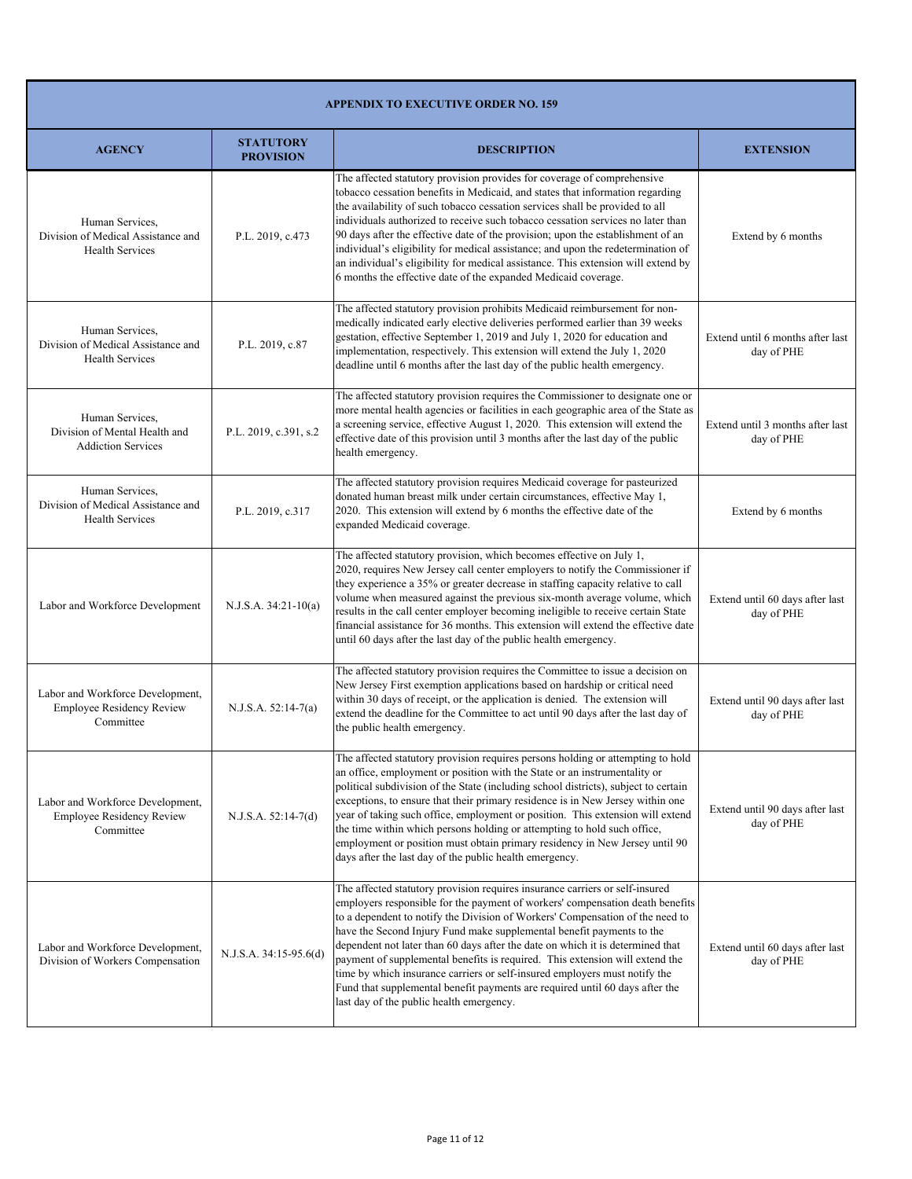| <b>APPENDIX TO EXECUTIVE ORDER NO. 159</b>                                        |                                      |                                                                                                                                                                                                                                                                                                                                                                                                                                                                                                                                                                                                                                                                                                     |                                                |
|-----------------------------------------------------------------------------------|--------------------------------------|-----------------------------------------------------------------------------------------------------------------------------------------------------------------------------------------------------------------------------------------------------------------------------------------------------------------------------------------------------------------------------------------------------------------------------------------------------------------------------------------------------------------------------------------------------------------------------------------------------------------------------------------------------------------------------------------------------|------------------------------------------------|
| <b>AGENCY</b>                                                                     | <b>STATUTORY</b><br><b>PROVISION</b> | <b>DESCRIPTION</b>                                                                                                                                                                                                                                                                                                                                                                                                                                                                                                                                                                                                                                                                                  | <b>EXTENSION</b>                               |
| Human Services.<br>Division of Medical Assistance and<br><b>Health Services</b>   | P.L. 2019, c.473                     | The affected statutory provision provides for coverage of comprehensive<br>tobacco cessation benefits in Medicaid, and states that information regarding<br>the availability of such tobacco cessation services shall be provided to all<br>individuals authorized to receive such tobacco cessation services no later than<br>90 days after the effective date of the provision; upon the establishment of an<br>individual's eligibility for medical assistance; and upon the redetermination of<br>an individual's eligibility for medical assistance. This extension will extend by<br>6 months the effective date of the expanded Medicaid coverage.                                           | Extend by 6 months                             |
| Human Services,<br>Division of Medical Assistance and<br><b>Health Services</b>   | P.L. 2019, c.87                      | The affected statutory provision prohibits Medicaid reimbursement for non-<br>medically indicated early elective deliveries performed earlier than 39 weeks<br>gestation, effective September 1, 2019 and July 1, 2020 for education and<br>implementation, respectively. This extension will extend the July 1, 2020<br>deadline until 6 months after the last day of the public health emergency.                                                                                                                                                                                                                                                                                                 | Extend until 6 months after last<br>day of PHE |
| Human Services.<br>Division of Mental Health and<br><b>Addiction Services</b>     | P.L. 2019, c.391, s.2                | The affected statutory provision requires the Commissioner to designate one or<br>more mental health agencies or facilities in each geographic area of the State as<br>a screening service, effective August 1, 2020. This extension will extend the<br>effective date of this provision until 3 months after the last day of the public<br>health emergency.                                                                                                                                                                                                                                                                                                                                       | Extend until 3 months after last<br>day of PHE |
| Human Services,<br>Division of Medical Assistance and<br><b>Health Services</b>   | P.L. 2019, c.317                     | The affected statutory provision requires Medicaid coverage for pasteurized<br>donated human breast milk under certain circumstances, effective May 1,<br>2020. This extension will extend by 6 months the effective date of the<br>expanded Medicaid coverage.                                                                                                                                                                                                                                                                                                                                                                                                                                     | Extend by 6 months                             |
| Labor and Workforce Development                                                   | $N.J.S.A. 34:21-10(a)$               | The affected statutory provision, which becomes effective on July 1,<br>2020, requires New Jersey call center employers to notify the Commissioner if<br>they experience a 35% or greater decrease in staffing capacity relative to call<br>volume when measured against the previous six-month average volume, which<br>results in the call center employer becoming ineligible to receive certain State<br>financial assistance for 36 months. This extension will extend the effective date<br>until 60 days after the last day of the public health emergency.                                                                                                                                  | Extend until 60 days after last<br>day of PHE  |
| Labor and Workforce Development,<br><b>Employee Residency Review</b><br>Committee | $N.J.S.A. 52:14-7(a)$                | The affected statutory provision requires the Committee to issue a decision on<br>New Jersey First exemption applications based on hardship or critical need<br>within 30 days of receipt, or the application is denied. The extension will<br>extend the deadline for the Committee to act until 90 days after the last day of<br>the public health emergency.                                                                                                                                                                                                                                                                                                                                     | Extend until 90 days after last<br>day of PHE  |
| Labor and Workforce Development,<br><b>Employee Residency Review</b><br>Committee | $N.J.S.A. 52:14-7(d)$                | The affected statutory provision requires persons holding or attempting to hold<br>an office, employment or position with the State or an instrumentality or<br>political subdivision of the State (including school districts), subject to certain<br>exceptions, to ensure that their primary residence is in New Jersey within one<br>year of taking such office, employment or position. This extension will extend<br>the time within which persons holding or attempting to hold such office,<br>employment or position must obtain primary residency in New Jersey until 90<br>days after the last day of the public health emergency.                                                       | Extend until 90 days after last<br>day of PHE  |
| Labor and Workforce Development,<br>Division of Workers Compensation              | N.J.S.A. 34:15-95.6(d)               | The affected statutory provision requires insurance carriers or self-insured<br>employers responsible for the payment of workers' compensation death benefits<br>to a dependent to notify the Division of Workers' Compensation of the need to<br>have the Second Injury Fund make supplemental benefit payments to the<br>dependent not later than 60 days after the date on which it is determined that<br>payment of supplemental benefits is required. This extension will extend the<br>time by which insurance carriers or self-insured employers must notify the<br>Fund that supplemental benefit payments are required until 60 days after the<br>last day of the public health emergency. | Extend until 60 days after last<br>day of PHE  |